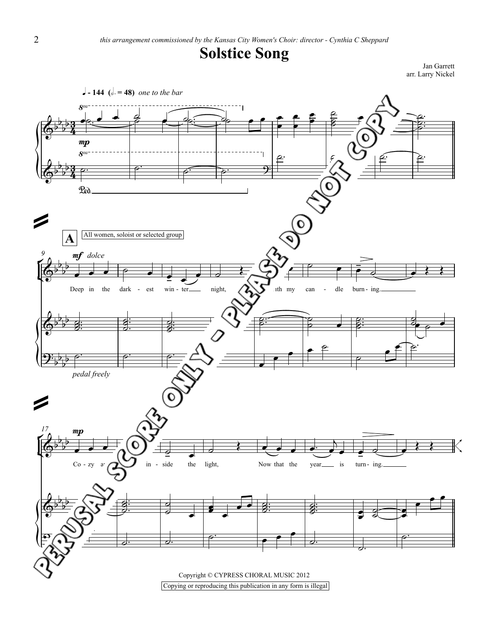## v the Kansas City Women's Che<br>**Solstice Song**

Jan Garrett arr. Larry Nickel

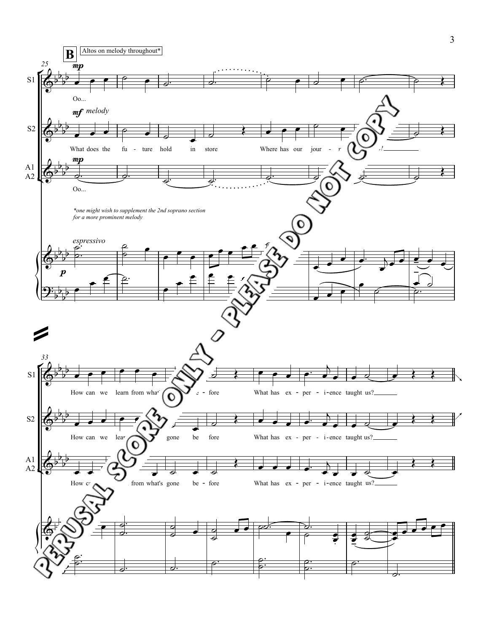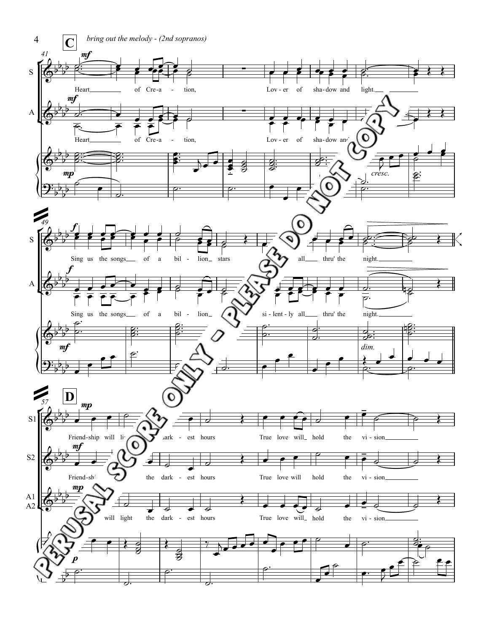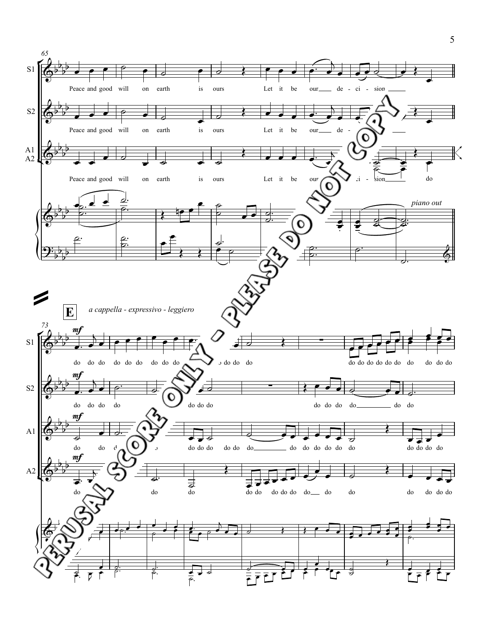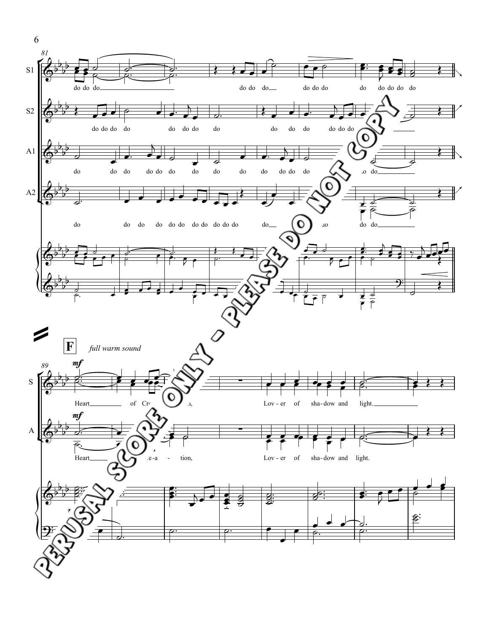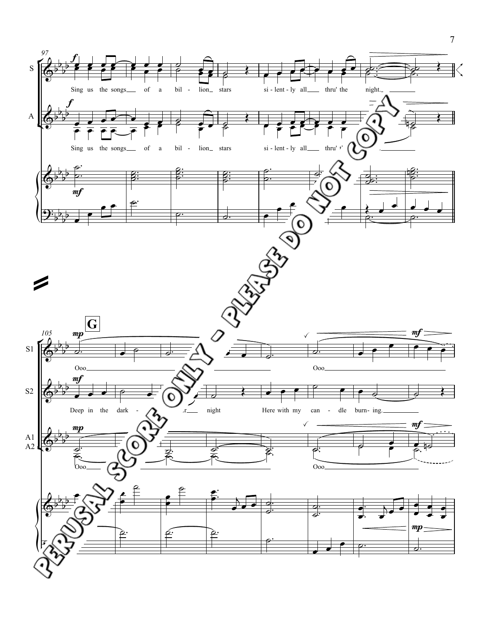